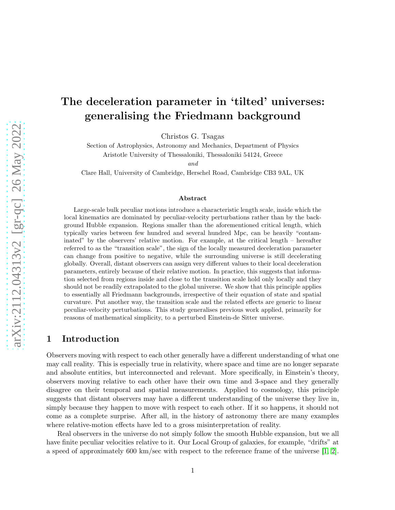# The deceleration parameter in 'tilted' universes: generalising the Friedmann background

Christos G. Tsagas

Section of Astrophysics, Astronomy and Mechanics, Department of Physics Aristotle University of Thessaloniki, Thessaloniki 54124, Greece

and

Clare Hall, University of Cambridge, Herschel Road, Cambridge CB3 9AL, UK

#### Abstract

Large-scale bulk peculiar motions introduce a characteristic length scale, inside which the local kinematics are dominated by peculiar-velocity perturbations rather than by the background Hubble expansion. Regions smaller than the aforementioned critical length, which typically varies between few hundred and several hundred Mpc, can be heavily "contaminated" by the observers' relative motion. For example, at the critical length – hereafter referred to as the "transition scale", the sign of the locally measured deceleration parameter can change from positive to negative, while the surrounding universe is still decelerating globally. Overall, distant observers can assign very different values to their local deceleration parameters, entirely because of their relative motion. In practice, this suggests that information selected from regions inside and close to the transition scale hold only locally and they should not be readily extrapolated to the global universe. We show that this principle applies to essentially all Friedmann backgrounds, irrespective of their equation of state and spatial curvature. Put another way, the transition scale and the related effects are generic to linear peculiar-velocity perturbations. This study generalises previous work applied, primarily for reasons of mathematical simplicity, to a perturbed Einstein-de Sitter universe.

# 1 Introduction

Observers moving with respect to each other generally have a different understanding of what one may call reality. This is especially true in relativity, where space and time are no longer separate and absolute entities, but interconnected and relevant. More specifically, in Einstein's theory, observers moving relative to each other have their own time and 3-space and they generally disagree on their temporal and spatial measurements. Applied to cosmology, this principle suggests that distant observers may have a different understanding of the universe they live in, simply because they happen to move with respect to each other. If it so happens, it should not come as a complete surprise. After all, in the history of astronomy there are many examples where relative-motion effects have led to a gross misinterpretation of reality.

Real observers in the universe do not simply follow the smooth Hubble expansion, but we all have finite peculiar velocities relative to it. Our Local Group of galaxies, for example, "drifts" at a speed of approximately 600 km/sec with respect to the reference frame of the universe [\[1,](#page-13-0) [2\]](#page-13-1).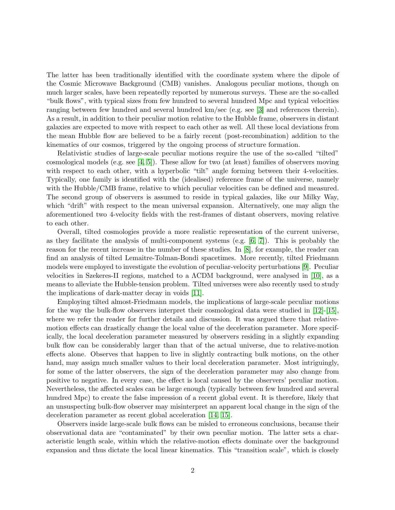The latter has been traditionally identified with the coordinate system where the dipole of the Cosmic Microwave Background (CMB) vanishes. Analogous peculiar motions, though on much larger scales, have been repeatedly reported by numerous surveys. These are the so-called "bulk flows", with typical sizes from few hundred to several hundred Mpc and typical velocities ranging between few hundred and several hundred km/sec (e.g. see [\[3\]](#page-13-2) and references therein). As a result, in addition to their peculiar motion relative to the Hubble frame, observers in distant galaxies are expected to move with respect to each other as well. All these local deviations from the mean Hubble flow are believed to be a fairly recent (post-recombination) addition to the kinematics of our cosmos, triggered by the ongoing process of structure formation.

Relativistic studies of large-scale peculiar motions require the use of the so-called "tilted" cosmological models (e.g. see [\[4,](#page-13-3) [5\]](#page-13-4)). These allow for two (at least) families of observers moving with respect to each other, with a hyperbolic "tilt" angle forming between their 4-velocities. Typically, one family is identified with the (idealised) reference frame of the universe, namely with the Hubble/CMB frame, relative to which peculiar velocities can be defined and measured. The second group of observers is assumed to reside in typical galaxies, like our Milky Way, which "drift" with respect to the mean universal expansion. Alternatively, one may align the aforementioned two 4-velocity fields with the rest-frames of distant observers, moving relative to each other.

Overall, tilted cosmologies provide a more realistic representation of the current universe, as they facilitate the analysis of multi-component systems (e.g.  $[6, 7]$  $[6, 7]$ ). This is probably the reason for the recent increase in the number of these studies. In [\[8\]](#page-13-7), for example, the reader can find an analysis of tilted Lemaitre-Tolman-Bondi spacetimes. More recently, tilted Friedmann models were employed to investigate the evolution of peculiar-velocity perturbations [\[9\]](#page-13-8). Peculiar velocities in Szekeres-II regions, matched to a ΛCDM background, were analysed in [\[10\]](#page-14-0), as a means to alleviate the Hubble-tension problem. Tilted universes were also recently used to study the implications of dark-matter decay in voids [\[11\]](#page-14-1).

Employing tilted almost-Friedmann models, the implications of large-scale peculiar motions for the way the bulk-flow observers interpret their cosmological data were studied in [\[12\]](#page-14-2)-[\[15\]](#page-14-3), where we refer the reader for further details and discussion. It was argued there that relativemotion effects can drastically change the local value of the deceleration parameter. More specifically, the local deceleration parameter measured by observers residing in a slightly expanding bulk flow can be considerably larger than that of the actual universe, due to relative-motion effects alone. Observes that happen to live in slightly contracting bulk motions, on the other hand, may assign much smaller values to their local deceleration parameter. Most intriguingly, for some of the latter observers, the sign of the deceleration parameter may also change from positive to negative. In every case, the effect is local caused by the observers' peculiar motion. Nevertheless, the affected scales can be large enough (typically between few hundred and several hundred Mpc) to create the false impression of a recent global event. It is therefore, likely that an unsuspecting bulk-flow observer may misinterpret an apparent local change in the sign of the deceleration parameter as recent global acceleration [\[14,](#page-14-4) [15\]](#page-14-3).

Observers inside large-scale bulk flows can be misled to erroneous conclusions, because their observational data are "contaminated" by their own peculiar motion. The latter sets a characteristic length scale, within which the relative-motion effects dominate over the background expansion and thus dictate the local linear kinematics. This "transition scale", which is closely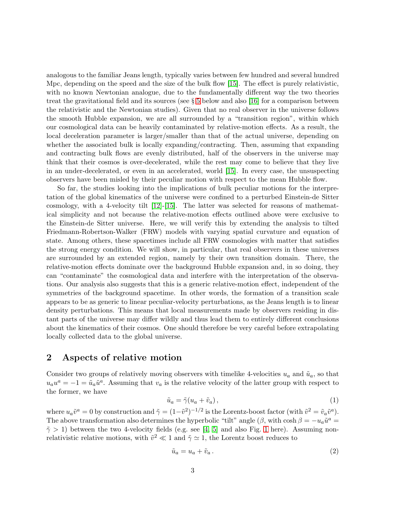analogous to the familiar Jeans length, typically varies between few hundred and several hundred Mpc, depending on the speed and the size of the bulk flow [\[15\]](#page-14-3). The effect is purely relativistic, with no known Newtonian analogue, due to the fundamentally different way the two theories treat the gravitational field and its sources (see  $\S 5$  $\S 5$  below and also [\[16\]](#page-14-5) for a comparison between the relativistic and the Newtonian studies). Given that no real observer in the universe follows the smooth Hubble expansion, we are all surrounded by a "transition region", within which our cosmological data can be heavily contaminated by relative-motion effects. As a result, the local deceleration parameter is larger/smaller than that of the actual universe, depending on whether the associated bulk is locally expanding/contracting. Then, assuming that expanding and contracting bulk flows are evenly distributed, half of the observers in the universe may think that their cosmos is over-decelerated, while the rest may come to believe that they live in an under-decelerated, or even in an accelerated, world [\[15\]](#page-14-3). In every case, the unsuspecting observers have been misled by their peculiar motion with respect to the mean Hubble flow.

So far, the studies looking into the implications of bulk peculiar motions for the interpretation of the global kinematics of the universe were confined to a perturbed Einstein-de Sitter cosmology, with a 4-velocity tilt  $[12]$ - $[15]$ . The latter was selected for reasons of mathematical simplicity and not because the relative-motion effects outlined above were exclusive to the Einstein-de Sitter universe. Here, we will verify this by extending the analysis to tilted Friedmann-Robertson-Walker (FRW) models with varying spatial curvature and equation of state. Among others, these spacetimes include all FRW cosmologies with matter that satisfies the strong energy condition. We will show, in particular, that real observers in these universes are surrounded by an extended region, namely by their own transition domain. There, the relative-motion effects dominate over the background Hubble expansion and, in so doing, they can "contaminate" the cosmological data and interfere with the interpretation of the observations. Our analysis also suggests that this is a generic relative-motion effect, independent of the symmetries of the background spacetime. In other words, the formation of a transition scale appears to be as generic to linear peculiar-velocity perturbations, as the Jeans length is to linear density perturbations. This means that local measurements made by observers residing in distant parts of the universe may differ wildly and thus lead them to entirely different conclusions about the kinematics of their cosmos. One should therefore be very careful before extrapolating locally collected data to the global universe.

# <span id="page-2-1"></span>2 Aspects of relative motion

Consider two groups of relatively moving observers with timelike 4-velocities  $u_a$  and  $\tilde{u}_a$ , so that  $u_a u^a = -1 = \tilde{u}_a \tilde{u}^a$ . Assuming that  $v_a$  is the relative velocity of the latter group with respect to the former, we have

<span id="page-2-0"></span>
$$
\tilde{u}_a = \tilde{\gamma}(u_a + \tilde{v}_a),\tag{1}
$$

where  $u_a \tilde{v}^a = 0$  by construction and  $\tilde{\gamma} = (1 - \tilde{v}^2)^{-1/2}$  is the Lorentz-boost factor (with  $\tilde{v}^2 = \tilde{v}_a \tilde{v}^a$ ). The above transformation also determines the hyperbolic "tilt" angle  $(\beta, \text{ with } \cosh \beta = -u_a \tilde{u}^a$  $\tilde{\gamma} > 1$  $\tilde{\gamma} > 1$ ) between the two 4-velocity fields (e.g. see [\[4,](#page-13-3) [5\]](#page-13-4) and also Fig. 1 here). Assuming nonrelativistic relative motions, with  $\tilde{v}^2 \ll 1$  and  $\tilde{\gamma} \simeq 1$ , the Lorentz boost reduces to

$$
\tilde{u}_a = u_a + \tilde{v}_a. \tag{2}
$$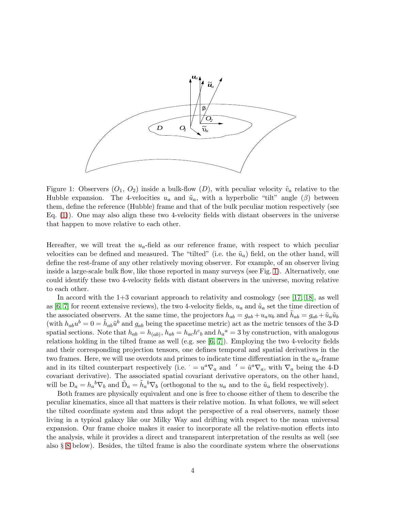

<span id="page-3-0"></span>Figure 1: Observers  $(O_1, O_2)$  inside a bulk-flow  $(D)$ , with peculiar velocity  $\tilde{v}_a$  relative to the Hubble expansion. The 4-velocities  $u_a$  and  $\tilde{u}_a$ , with a hyperbolic "tilt" angle ( $\beta$ ) between them, define the reference (Hubble) frame and that of the bulk peculiar motion respectively (see Eq. [\(1\)](#page-2-0)). One may also align these two 4-velocity fields with distant observers in the universe that happen to move relative to each other.

Hereafter, we will treat the  $u_a$ -field as our reference frame, with respect to which peculiar velocities can be defined and measured. The "tilted" (i.e. the  $\tilde{u}_a$ ) field, on the other hand, will define the rest-frame of any other relatively moving observer. For example, of an observer living inside a large-scale bulk flow, like those reported in many surveys (see Fig. [1\)](#page-3-0). Alternatively, one could identify these two 4-velocity fields with distant observers in the universe, moving relative to each other.

In accord with the 1+3 covariant approach to relativity and cosmology (see [\[17,](#page-14-6) [18\]](#page-14-7), as well as [\[6,](#page-13-5) [7\]](#page-13-6) for recent extensive reviews), the two 4-velocity fields,  $u_a$  and  $\tilde{u}_a$  set the time direction of the associated observers. At the same time, the projectors  $h_{ab} = g_{ab} + u_a u_b$  and  $\tilde{h}_{ab} = g_{ab} + \tilde{u}_a \tilde{u}_b$ (with  $h_{ab}u^b = 0 = \tilde{h}_{ab}\tilde{u}^b$  and  $g_{ab}$  being the spacetime metric) act as the metric tensors of the 3-D spatial sections. Note that  $h_{ab} = h_{(ab)}$ ,  $h_{ab} = h_{ac}h^c{}_b$  and  $h_a{}^a = 3$  by construction, with analogous relations holding in the tilted frame as well (e.g. see  $[6, 7]$  $[6, 7]$ ). Employing the two 4-velocity fields and their corresponding projection tensors, one defines temporal and spatial derivatives in the two frames. Here, we will use overdots and primes to indicate time differentiation in the  $u_a$ -frame and in its tilted counterpart respectively (i.e.  $= u^a \nabla_a$  and  $\prime = \tilde{u}^a \nabla_a$ , with  $\nabla_a$  being the 4-D covariant derivative). The associated spatial covariant derivative operators, on the other hand, will be  $D_a = h_a{}^b \nabla_b$  and  $\tilde{D}_a = \tilde{h}_a{}^b \nabla_b$  (orthogonal to the  $u_a$  and to the  $\tilde{u}_a$  field respectively).

Both frames are physically equivalent and one is free to choose either of them to describe the peculiar kinematics, since all that matters is their relative motion. In what follows, we will select the tilted coordinate system and thus adopt the perspective of a real observers, namely those living in a typical galaxy like our Milky Way and drifting with respect to the mean universal expansion. Our frame choice makes it easier to incorporate all the relative-motion effects into the analysis, while it provides a direct and transparent interpretation of the results as well (see also § [8](#page-10-0) below). Besides, the tilted frame is also the coordinate system where the observations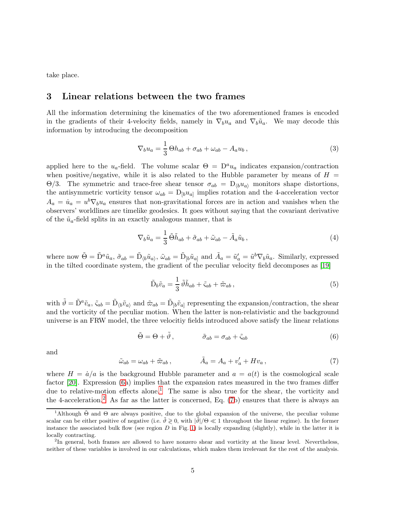<span id="page-4-4"></span>take place.

## 3 Linear relations between the two frames

All the information determining the kinematics of the two aforementioned frames is encoded in the gradients of their 4-velocity fields, namely in  $\nabla_b u_a$  and  $\nabla_b \tilde{u}_a$ . We may decode this information by introducing the decomposition

$$
\nabla_b u_a = \frac{1}{3} \Theta h_{ab} + \sigma_{ab} + \omega_{ab} - A_a u_b, \qquad (3)
$$

applied here to the  $u_a$ -field. The volume scalar  $\Theta = D^a u_a$  indicates expansion/contraction when positive/negative, while it is also related to the Hubble parameter by means of  $H =$ Θ/3. The symmetric and trace-free shear tensor  $\sigma_{ab} = D_{b}u_{a}$  monitors shape distortions, the antisymmetric vorticity tensor  $\omega_{ab} = D_{[b}u_{a]}$  implies rotation and the 4-acceleration vector  $A_a = \dot{u}_a = u^b \nabla_b u_a$  ensures that non-gravitational forces are in action and vanishes when the observers' worldlines are timelike geodesics. It goes without saying that the covariant derivative of the  $\tilde{u}_a$ -field splits in an exactly analogous manner, that is

$$
\nabla_b \tilde{u}_a = \frac{1}{3} \tilde{\Theta} \tilde{h}_{ab} + \tilde{\sigma}_{ab} + \tilde{\omega}_{ab} - \tilde{A}_a \tilde{u}_b, \qquad (4)
$$

where now  $\tilde{\Theta} = \tilde{D}^a \tilde{u}_a$ ,  $\tilde{\sigma}_{ab} = \tilde{D}_{\langle b} \tilde{u}_a$ ,  $\tilde{\omega}_{ab} = \tilde{D}_{[b} \tilde{u}_a]$  and  $\tilde{A}_a = \tilde{u}'_a = \tilde{u}^b \nabla_b \tilde{u}_a$ . Similarly, expressed in the tilted coordinate system, the gradient of the peculiar velocity field decomposes as [\[19\]](#page-14-8)

$$
\tilde{\mathcal{D}}_b \tilde{v}_a = \frac{1}{3} \tilde{\vartheta} \tilde{h}_{ab} + \tilde{\varsigma}_{ab} + \tilde{\varpi}_{ab} , \qquad (5)
$$

with  $\tilde{\vartheta} = \tilde{D}^a \tilde{v}_a$ ,  $\tilde{\varsigma}_{ab} = \tilde{D}_{\langle b} \tilde{v}_a$  and  $\tilde{\varpi}_{ab} = \tilde{D}_{[b} \tilde{v}_a]$  representing the expansion/contraction, the shear and the vorticity of the peculiar motion. When the latter is non-relativistic and the background universe is an FRW model, the three velocitiy fields introduced above satisfy the linear relations

<span id="page-4-0"></span>
$$
\tilde{\Theta} = \Theta + \tilde{\vartheta}, \qquad \qquad \tilde{\sigma}_{ab} = \sigma_{ab} + \tilde{\varsigma}_{ab} \tag{6}
$$

and

<span id="page-4-3"></span>
$$
\tilde{\omega}_{ab} = \omega_{ab} + \tilde{\omega}_{ab} ,\qquad \tilde{A}_a = A_a + v'_a + Hv_a ,\qquad (7)
$$

where  $H = \dot{a}/a$  is the background Hubble parameter and  $a = a(t)$  is the cosmological scale factor [\[20\]](#page-14-9). Expression [\(6a](#page-4-0)) implies that the expansion rates measured in the two frames differ due to relative-motion effects alone.<sup>[1](#page-4-1)</sup> The same is also true for the shear, the vorticity and the 4-acceleration.<sup>[2](#page-4-2)</sup> As far as the latter is concerned, Eq.  $(7b)$  ensures that there is always an

<span id="page-4-1"></span><sup>&</sup>lt;sup>1</sup>Although  $\tilde{\Theta}$  and  $\Theta$  are always positive, due to the global expansion of the universe, the peculiar volume scalar can be either positive of negative (i.e.  $\vartheta \geq 0$ , with  $|\vartheta|/\Theta \ll 1$  throughout the linear regime). In the former instance the associated bulk flow (see region  $D$  in Fig. [1\)](#page-3-0) is locally expanding (slightly), while in the latter it is locally contracting.

<span id="page-4-2"></span><sup>&</sup>lt;sup>2</sup>In general, both frames are allowed to have nonzero shear and vorticity at the linear level. Nevertheless, neither of these variables is involved in our calculations, which makes them irrelevant for the rest of the analysis.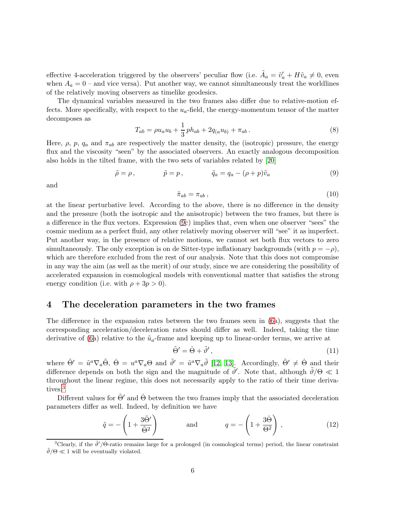effective 4-acceleration triggered by the observers' peculiar flow (i.e.  $\tilde{A}_a = \tilde{v}'_a + H\tilde{v}_a \neq 0$ , even when  $A_a = 0$  – and vice versa). Put another way, we cannot simultaneously treat the worldlines of the relatively moving observers as timelike geodesics.

The dynamical variables measured in the two frames also differ due to relative-motion effects. More specifically, with respect to the  $u_a$ -field, the energy-momentum tensor of the matter decomposes as

$$
T_{ab} = \rho u_a u_b + \frac{1}{3} p h_{ab} + 2q_{(a} u_{b)} + \pi_{ab} \,. \tag{8}
$$

Here,  $\rho$ ,  $p$ ,  $q_a$  and  $\pi_{ab}$  are respectively the matter density, the (isotropic) pressure, the energy flux and the viscosity "seen" by the associated observers. An exactly analogous decomposition also holds in the tilted frame, with the two sets of variables related by [\[20\]](#page-14-9)

<span id="page-5-0"></span>
$$
\tilde{\rho} = \rho, \qquad \tilde{p} = p, \qquad \tilde{q}_a = q_a - (\rho + p)\tilde{v}_a \tag{9}
$$

and

$$
\tilde{\pi}_{ab} = \pi_{ab} , \qquad (10)
$$

at the linear perturbative level. According to the above, there is no difference in the density and the pressure (both the isotropic and the anisotropic) between the two frames, but there is a difference in the flux vectors. Expression [\(9c](#page-5-0)) implies that, even when one observer "sees" the cosmic medium as a perfect fluid, any other relatively moving observer will "see" it as imperfect. Put another way, in the presence of relative motions, we cannot set both flux vectors to zero simultaneously. The only exception is on de Sitter-type inflationary backgrounds (with  $p = -\rho$ ), which are therefore excluded from the rest of our analysis. Note that this does not compromise in any way the aim (as well as the merit) of our study, since we are considering the possibility of accelerated expansion in cosmological models with conventional matter that satisfies the strong energy condition (i.e. with  $\rho + 3p > 0$ ).

### <span id="page-5-3"></span>4 The deceleration parameters in the two frames

The difference in the expansion rates between the two frames seen in [\(6a](#page-4-0)), suggests that the corresponding acceleration/deceleration rates should differ as well. Indeed, taking the time derivative of [\(6a](#page-4-0)) relative to the  $\tilde{u}_a$ -frame and keeping up to linear-order terms, we arrive at

<span id="page-5-2"></span>
$$
\tilde{\Theta}' = \dot{\Theta} + \tilde{\vartheta}',\tag{11}
$$

where  $\tilde{\Theta}' = \tilde{u}^a \nabla_a \tilde{\Theta}, \ \dot{\Theta} = u^a \nabla_a \Theta$  and  $\tilde{\vartheta}' = \tilde{u}^a \nabla_a \tilde{\vartheta}$  [\[12,](#page-14-2) [13\]](#page-14-10). Accordingly,  $\tilde{\Theta}' \neq \dot{\Theta}$  and their difference depends on both the sign and the magnitude of  $\tilde{\theta}'$ . Note that, although  $\tilde{\theta}/\Theta \ll 1$ throughout the linear regime, this does not necessarily apply to the ratio of their time derivatives.[3](#page-5-1)

Different values for  $\tilde{\Theta}'$  and  $\dot{\Theta}$  between the two frames imply that the associated deceleration parameters differ as well. Indeed, by definition we have

$$
\tilde{q} = -\left(1 + \frac{3\tilde{\Theta}'}{\tilde{\Theta}^2}\right) \quad \text{and} \quad q = -\left(1 + \frac{3\dot{\Theta}}{\Theta^2}\right), \quad (12)
$$

<span id="page-5-1"></span><sup>&</sup>lt;sup>3</sup>Clearly, if the  $\tilde{\theta}'/\dot{\Theta}$ -ratio remains large for a prolonged (in cosmological terms) period, the linear constraint  $\tilde{\vartheta}/\Theta \ll 1$  will be eventually violated.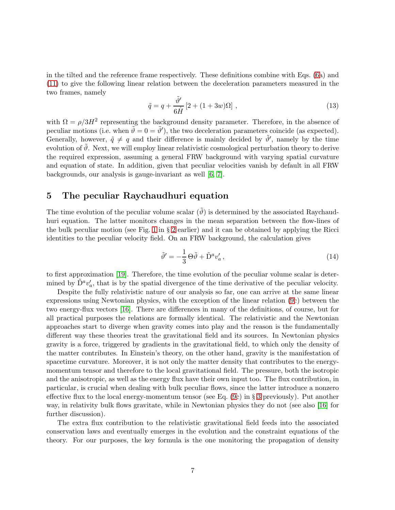in the tilted and the reference frame respectively. These definitions combine with Eqs. [\(6a](#page-4-0)) and [\(11\)](#page-5-2) to give the following linear relation between the deceleration parameters measured in the two frames, namely

<span id="page-6-1"></span>
$$
\tilde{q} = q + \frac{\tilde{\vartheta}'}{6\dot{H}} \left[ 2 + (1+3w)\Omega \right],\tag{13}
$$

with  $\Omega = \rho/3H^2$  representing the background density parameter. Therefore, in the absence of peculiar motions (i.e. when  $\tilde{\vartheta} = 0 = \tilde{\vartheta}'$ ), the two deceleration parameters coincide (as expected). Generally, however,  $\tilde{q} \neq q$  and their difference is mainly decided by  $\tilde{\theta}'$ , namely by the time evolution of  $\vartheta$ . Next, we will employ linear relativistic cosmological perturbation theory to derive the required expression, assuming a general FRW background with varying spatial curvature and equation of state. In addition, given that peculiar velocities vanish by default in all FRW backgrounds, our analysis is gauge-invariant as well [\[6,](#page-13-5) [7\]](#page-13-6).

# <span id="page-6-0"></span>5 The peculiar Raychaudhuri equation

The time evolution of the peculiar volume scalar  $(\tilde{\vartheta})$  is determined by the associated Raychaudhuri equation. The latter monitors changes in the mean separation between the flow-lines of the bulk peculiar motion (see Fig. [1](#page-3-0) in § [2](#page-2-1) earlier) and it can be obtained by applying the Ricci identities to the peculiar velocity field. On an FRW background, the calculation gives

$$
\tilde{\vartheta}' = -\frac{1}{3} \Theta \tilde{\vartheta} + \tilde{D}^a v'_a , \qquad (14)
$$

to first approximation [\[19\]](#page-14-8). Therefore, the time evolution of the peculiar volume scalar is determined by  $\tilde{D}^a v'_a$ , that is by the spatial divergence of the time derivative of the peculiar velocity.

Despite the fully relativistic nature of our analysis so far, one can arrive at the same linear expressions using Newtonian physics, with the exception of the linear relation [\(9c](#page-5-0)) between the two energy-flux vectors [\[16\]](#page-14-5). There are differences in many of the definitions, of course, but for all practical purposes the relations are formally identical. The relativistic and the Newtonian approaches start to diverge when gravity comes into play and the reason is the fundamentally different way these theories treat the gravitational field and its sources. In Newtonian physics gravity is a force, triggered by gradients in the gravitational field, to which only the density of the matter contributes. In Einstein's theory, on the other hand, gravity is the manifestation of spacetime curvature. Moreover, it is not only the matter density that contributes to the energymomentum tensor and therefore to the local gravitational field. The pressure, both the isotropic and the anisotropic, as well as the energy flux have their own input too. The flux contribution, in particular, is crucial when dealing with bulk peculiar flows, since the latter introduce a nonzero effective flux to the local energy-momentum tensor (see Eq. [\(9c](#page-5-0)) in § [3](#page-4-4) previously). Put another way, in relativity bulk flows gravitate, while in Newtonian physics they do not (see also [\[16\]](#page-14-5) for further discussion).

The extra flux contribution to the relativistic gravitational field feeds into the associated conservation laws and eventually emerges in the evolution and the constraint equations of the theory. For our purposes, the key formula is the one monitoring the propagation of density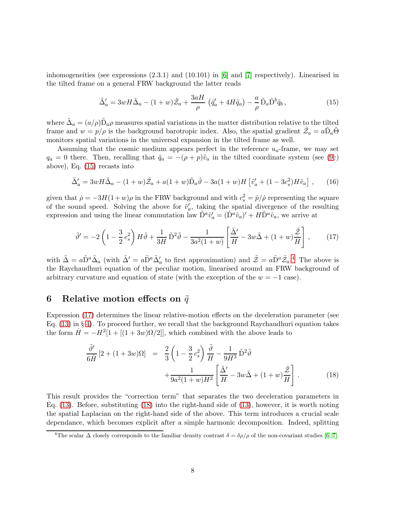inhomogeneities (see expressions (2.3.1) and (10.101) in [\[6\]](#page-13-5) and [\[7\]](#page-13-6) respectively). Linearised in the tilted frame on a general FRW background the latter reads

<span id="page-7-0"></span>
$$
\tilde{\Delta}'_a = 3wH\tilde{\Delta}_a - (1+w)\tilde{\mathcal{Z}}_a + \frac{3aH}{\rho} \left(\tilde{q}'_a + 4H\tilde{q}_a\right) - \frac{a}{\rho}\tilde{D}_a\tilde{D}^b\tilde{q}_b, \tag{15}
$$

where  $\tilde{\Delta}_a = (a/\rho)\tilde{D}_a\rho$  measures spatial variations in the matter distribution relative to the tilted frame and  $w = p/\rho$  is the background barotropic index. Also, the spatial gradient  $\tilde{Z}_a = a\tilde{D}_a\tilde{\Theta}$ monitors spatial variations in the universal expansion in the tilted frame as well.

Assuming that the cosmic medium appears perfect in the reference  $u_a$ -frame, we may set  $q_a = 0$  there. Then, recalling that  $\tilde{q}_a = -(\rho + p)\tilde{v}_a$  in the tilted coordinate system (see [\(9c](#page-5-0)) above), Eq. [\(15\)](#page-7-0) recasts into

$$
\tilde{\Delta}'_a = 3wH\tilde{\Delta}_a - (1+w)\tilde{Z}_a + a(1+w)\tilde{D}_a\tilde{\vartheta} - 3a(1+w)H\left[\tilde{v}'_a + (1-3c_s^2)H\tilde{v}_a\right],\tag{16}
$$

given that  $\dot{\rho} = -3H(1+w)\rho$  in the FRW background and with  $c_s^2 = \dot{p}/\dot{\rho}$  representing the square of the sound speed. Solving the above for  $\tilde{v}'_a$ , taking the spatial divergence of the resulting expression and using the linear commutation law  $\tilde{D}^a \tilde{v}'_a = (\tilde{D}^a \tilde{v}_a)' + H \tilde{D}^a \tilde{v}_a$ , we arrive at

<span id="page-7-2"></span>
$$
\tilde{\vartheta}' = -2\left(1 - \frac{3}{2}c_s^2\right)H\tilde{\vartheta} + \frac{1}{3H}\tilde{D}^2\tilde{\vartheta} - \frac{1}{3a^2(1+w)}\left[\frac{\tilde{\Delta}'}{H} - 3w\tilde{\Delta} + (1+w)\frac{\tilde{\mathcal{Z}}}{H}\right],\tag{17}
$$

with  $\tilde{\Delta} = a\tilde{D}^a \tilde{\Delta}_a$  (with  $\tilde{\Delta}' = a\tilde{D}^a \tilde{\Delta}'_a$  to first approximation) and  $\tilde{\mathcal{Z}} = a\tilde{D}^a \tilde{\mathcal{Z}}_a$ .<sup>[4](#page-7-1)</sup> The above is the Raychaudhuri equation of the peculiar motion, linearised around an FRW background of arbitrary curvature and equation of state (with the exception of the  $w = -1$  case).

#### <span id="page-7-4"></span>6 Relative motion effects on  $\tilde{q}$

Expression [\(17\)](#page-7-2) determines the linear relative-motion effects on the deceleration parameter (see Eq.  $(13)$  in § [4\)](#page-5-3). To proceed further, we recall that the background Raychaudhuri equation takes the form  $\dot{H} = -H^2[1 + [(1 + 3w)\Omega/2]]$ , which combined with the above leads to

<span id="page-7-3"></span>
$$
\frac{\tilde{\vartheta}'}{6\dot{H}}\left[2 + (1+3w)\Omega\right] = \frac{2}{3}\left(1 - \frac{3}{2}c_s^2\right)\frac{\tilde{\vartheta}}{H} - \frac{1}{9H^3}\tilde{D}^2\tilde{\vartheta} \n+ \frac{1}{9a^2(1+w)H^2}\left[\frac{\tilde{\Delta}'}{H} - 3w\tilde{\Delta} + (1+w)\frac{\tilde{\mathcal{Z}}}{H}\right].
$$
\n(18)

This result provides the "correction term" that separates the two deceleration parameters in Eq. [\(13\)](#page-6-1). Before, substituting [\(18\)](#page-7-3) into the right-hand side of [\(13\)](#page-6-1), however, it is worth noting the spatial Laplacian on the right-hand side of the above. This term introduces a crucial scale dependance, which becomes explicit after a simple harmonic decomposition. Indeed, splitting

<span id="page-7-1"></span><sup>&</sup>lt;sup>4</sup>The scalar  $\Delta$  closely corresponds to the familiar density contrast  $\delta = \delta \rho / \rho$  of the non-covariant studies [\[6,](#page-13-5) [7\]](#page-13-6).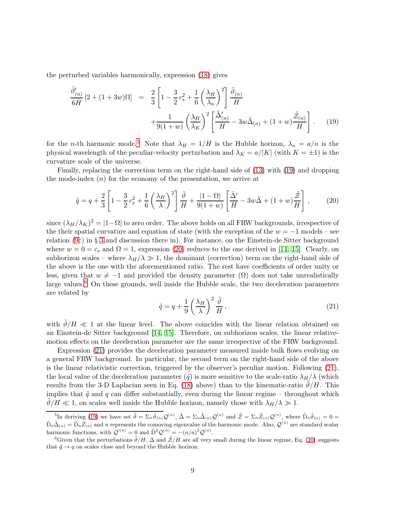the perturbed variables harmonically, expression [\(18\)](#page-7-3) gives

<span id="page-8-1"></span>
$$
\frac{\tilde{\vartheta}'_{(n)}}{6\dot{H}}\left[2 + (1+3w)\Omega\right] = \frac{2}{3}\left[1 - \frac{3}{2}c_s^2 + \frac{1}{6}\left(\frac{\lambda_H}{\lambda_n}\right)^2\right]\frac{\tilde{\vartheta}_{(n)}}{H} + \frac{1}{9(1+w)}\left(\frac{\lambda_H}{\lambda_K}\right)^2\left[\frac{\tilde{\Delta}'_{(n)}}{H} - 3w\tilde{\Delta}_{(n)} + (1+w)\frac{\tilde{\mathcal{Z}}_{(n)}}{H}\right].
$$
\n(19)

for the n-th harmonic mode.<sup>[5](#page-8-0)</sup> Note that  $\lambda_H = 1/H$  is the Hubble horizon,  $\lambda_n = a/n$  is the physical wavelength of the peculiar-velocity perturbation and  $\lambda_K = a/|K|$  (with  $K = \pm 1$ ) is the curvature scale of the universe.

Finally, replacing the correction term on the right-hand side of [\(13\)](#page-6-1) with [\(19\)](#page-8-1) and dropping the mode-index  $(n)$  for the economy of the presentation, we arrive at

<span id="page-8-2"></span>
$$
\tilde{q} = q + \frac{2}{3} \left[ 1 - \frac{3}{2} c_s^2 + \frac{1}{6} \left( \frac{\lambda_H}{\lambda} \right)^2 \right] \frac{\tilde{\vartheta}}{H} + \frac{|1 - \Omega|}{9(1 + w)} \left[ \frac{\tilde{\Delta}'}{H} - 3w\tilde{\Delta} + (1 + w)\frac{\tilde{\mathcal{Z}}}{H} \right],\tag{20}
$$

since  $(\lambda_H/\lambda_K)^2 = |1-\Omega|$  to zero order. The above holds on all FRW backgrounds, irrespective of the their spatial curvature and equation of state (with the exception of the  $w = -1$  models – see relation [\(9c](#page-5-0)) in § [3](#page-4-4) and discussion there in). For instance, on the Einstein-de Sitter background where  $w = 0 = c_s$  and  $\Omega = 1$ , expression [\(20\)](#page-8-2) reduces to the one derived in [\[14,](#page-14-4) [15\]](#page-14-3). Clearly, on subhorizon scales – where  $\lambda_H/\lambda \gg 1$ , the dominant (correction) term on the right-hand side of the above is the one with the aforementioned ratio. The rest have coefficients of order unity or less, given that  $w \neq -1$  and provided the density parameter  $(\Omega)$  does not take unrealistically large values.<sup>[6](#page-8-3)</sup> On these grounds, well inside the Hubble scale, the two deceleration parameters are related by

<span id="page-8-4"></span>
$$
\tilde{q} = q + \frac{1}{9} \left( \frac{\lambda_H}{\lambda} \right)^2 \frac{\tilde{\vartheta}}{H},\tag{21}
$$

with  $\tilde{\vartheta}/H \ll 1$  at the linear level. The above coincides with the linear relation obtained on an Einstein-de Sitter background [\[14,](#page-14-4) [15\]](#page-14-3). Therefore, on subhorizon scales, the linear relativemotion effects on the deceleration parameter are the same irrespective of the FRW background.

Expression [\(21\)](#page-8-4) provides the deceleration parameter measured inside bulk flows evolving on a general FRW background. In particular, the second term on the right-hand side of the above is the linear relativistic correction, triggered by the observer's peculiar motion. Following [\(21\)](#page-8-4), the local value of the deceleration parameter  $(\tilde{q})$  is more sensitive to the scale-ratio  $\lambda_H/\lambda$  (which results from the 3-D Laplacian seen in Eq. [\(18\)](#page-7-3) above) than to the kinematic-ratio  $\vartheta/H$ . This implies that  $\tilde{q}$  and q can differ substantially, even during the linear regime – throughout which  $\vartheta/H \ll 1$ , on scales well inside the Hubble horizon, namely those with  $\lambda_H/\lambda \gg 1$ .

<span id="page-8-0"></span><sup>&</sup>lt;sup>5</sup>In deriving [\(19\)](#page-8-1) we have set  $\tilde{\vartheta} = \sum_n \tilde{\vartheta}_{(n)} \mathcal{Q}^{(n)}$ ,  $\tilde{\Delta} = \sum_n \tilde{\Delta}_{(n)} \mathcal{Q}^{(n)}$  and  $\tilde{Z} = \sum_n \tilde{Z}_{(n)} \mathcal{Q}^{(n)}$ , where  $\tilde{D}_a \tilde{\vartheta}_{(n)} = 0$  $\tilde{D}_a \tilde{\Delta}_{(n)} = \tilde{D}_a \tilde{Z}_{(n)}$  and n represents the comoving eigenvalue of the harmonic mode. Also,  $\mathcal{Q}^{(n)}$  are standard scalar harmonic functions, with  $Q^{(n)} = 0$  and  $\tilde{D}^2 \mathcal{Q}^{(n)} = -(n/a)^2 \mathcal{Q}^{(n)}$ .

<span id="page-8-3"></span><sup>6</sup>Given that the perturbations  $\tilde{\partial}/H$ ,  $\Delta$  and  $\tilde{Z}/H$  are all very small during the linear regime, Eq. [\(20\)](#page-8-2) suggests that  $\tilde{q} \rightarrow q$  on scales close and beyond the Hubble horizon.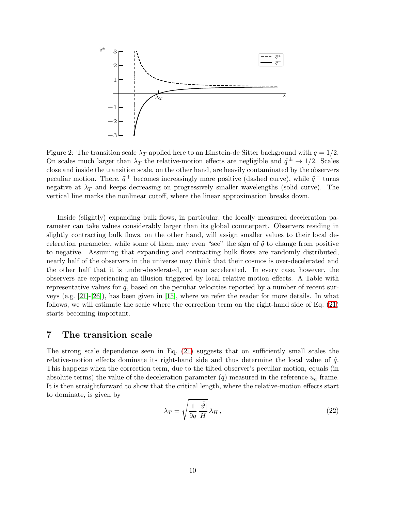

<span id="page-9-0"></span>Figure 2: The transition scale  $\lambda_T$  applied here to an Einstein-de Sitter background with  $q = 1/2$ . On scales much larger than  $\lambda_T$  the relative-motion effects are negligible and  $\tilde{q}^{\pm} \to 1/2$ . Scales close and inside the transition scale, on the other hand, are heavily contaminated by the observers peculiar motion. There,  $\tilde{q}$ <sup>+</sup> becomes increasingly more positive (dashed curve), while  $\tilde{q}$ <sup>-</sup> turns negative at  $\lambda_T$  and keeps decreasing on progressively smaller wavelengths (solid curve). The vertical line marks the nonlinear cutoff, where the linear approximation breaks down.

Inside (slightly) expanding bulk flows, in particular, the locally measured deceleration parameter can take values considerably larger than its global counterpart. Observers residing in slightly contracting bulk flows, on the other hand, will assign smaller values to their local deceleration parameter, while some of them may even "see" the sign of  $\tilde{q}$  to change from positive to negative. Assuming that expanding and contracting bulk flows are randomly distributed, nearly half of the observers in the universe may think that their cosmos is over-decelerated and the other half that it is under-decelerated, or even accelerated. In every case, however, the observers are experiencing an illusion triggered by local relative-motion effects. A Table with representative values for  $\tilde{q}$ , based on the peculiar velocities reported by a number of recent surveys (e.g. [\[21\]](#page-14-11)-[\[26\]](#page-14-12)), has been given in [\[15\]](#page-14-3), where we refer the reader for more details. In what follows, we will estimate the scale where the correction term on the right-hand side of Eq. [\(21\)](#page-8-4) starts becoming important.

### <span id="page-9-1"></span>7 The transition scale

The strong scale dependence seen in Eq. [\(21\)](#page-8-4) suggests that on sufficiently small scales the relative-motion effects dominate its right-hand side and thus determine the local value of  $\tilde{q}$ . This happens when the correction term, due to the tilted observer's peculiar motion, equals (in absolute terms) the value of the deceleration parameter  $(q)$  measured in the reference  $u_q$ -frame. It is then straightforward to show that the critical length, where the relative-motion effects start to dominate, is given by

<span id="page-9-2"></span>
$$
\lambda_T = \sqrt{\frac{1}{9q} \frac{|\tilde{\vartheta}|}{H}} \lambda_H , \qquad (22)
$$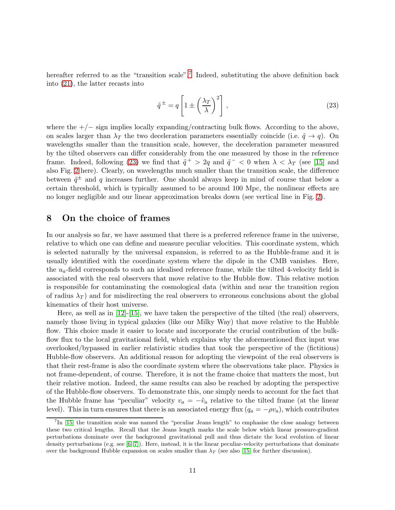hereafter referred to as the "transition scale".<sup>[7](#page-10-1)</sup> Indeed, substituting the above definition back into [\(21\)](#page-8-4), the latter recasts into

<span id="page-10-2"></span>
$$
\tilde{q}^{\pm} = q \left[ 1 \pm \left( \frac{\lambda_T}{\lambda} \right)^2 \right],\tag{23}
$$

where the  $+/-$  sign implies locally expanding/contracting bulk flows. According to the above, on scales larger than  $\lambda_T$  the two deceleration parameters essentially coincide (i.e.  $\tilde{q} \to q$ ). On wavelengths smaller than the transition scale, however, the deceleration parameter measured by the tilted observers can differ considerably from the one measured by those in the reference frame. Indeed, following [\(23\)](#page-10-2) we find that  $\tilde{q}^+ > 2q$  and  $\tilde{q}^- < 0$  when  $\lambda < \lambda_T$  (see [\[15\]](#page-14-3) and also Fig. [2](#page-9-0) here). Clearly, on wavelengths much smaller than the transition scale, the difference between  $\tilde{q}^{\pm}$  and q increases further. One should always keep in mind of course that below a certain threshold, which is typically assumed to be around 100 Mpc, the nonlinear effects are no longer negligible and our linear approximation breaks down (see vertical line in Fig. [2\)](#page-9-0).

#### <span id="page-10-0"></span>8 On the choice of frames

In our analysis so far, we have assumed that there is a preferred reference frame in the universe, relative to which one can define and measure peculiar velocities. This coordinate system, which is selected naturally by the universal expansion, is referred to as the Hubble-frame and it is usually identified with the coordinate system where the dipole in the CMB vanishes. Here, the  $u_a$ -field corresponds to such an idealised reference frame, while the tilted 4-velocity field is associated with the real observers that move relative to the Hubble flow. This relative motion is responsible for contaminating the cosmological data (within and near the transition region of radius  $\lambda_T$ ) and for misdirecting the real observers to erroneous conclusions about the global kinematics of their host universe.

Here, as well as in [\[12\]](#page-14-2)-[\[15\]](#page-14-3), we have taken the perspective of the tilted (the real) observers, namely those living in typical galaxies (like our Milky Way) that move relative to the Hubble flow. This choice made it easier to locate and incorporate the crucial contribution of the bulkflow flux to the local gravitational field, which explains why the aforementioned flux input was overlooked/bypassed in earlier relativistic studies that took the perspective of the (fictitious) Hubble-flow observers. An additional reason for adopting the viewpoint of the real observers is that their rest-frame is also the coordinate system where the observations take place. Physics is not frame-dependent, of course. Therefore, it is not the frame choice that matters the most, but their relative motion. Indeed, the same results can also be reached by adopting the perspective of the Hubble-flow observers. To demonstrate this, one simply needs to account for the fact that the Hubble frame has "peculiar" velocity  $v_a = -\tilde{v}_a$  relative to the tilted frame (at the linear level). This in turn ensures that there is an associated energy flux  $(q_a = -\rho v_a)$ , which contributes

<span id="page-10-1"></span><sup>&</sup>lt;sup>7</sup>In [\[15\]](#page-14-3) the transition scale was named the "peculiar Jeans length" to emphasise the close analogy between these two critical lengths. Recall that the Jeans length marks the scale below which linear pressure-gradient perturbations dominate over the background gravitational pull and thus dictate the local evolution of linear density perturbations (e.g. see  $[6, 7]$  $[6, 7]$ ). Here, instead, it is the linear peculiar-velocity perturbations that dominate over the background Hubble expansion on scales smaller than  $\lambda_T$  (see also [\[15\]](#page-14-3) for further discussion).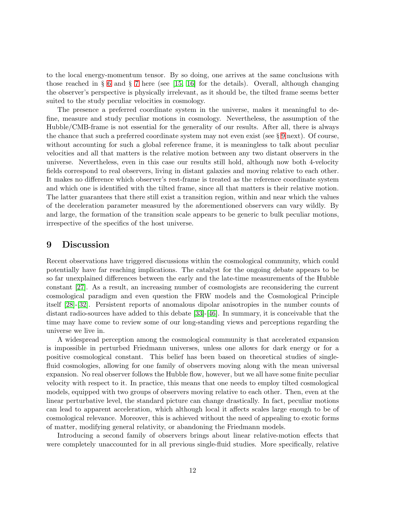to the local energy-momentum tensor. By so doing, one arrives at the same conclusions with those reached in § [6](#page-7-4) and § [7](#page-9-1) here (see [\[15,](#page-14-3) [16\]](#page-14-5) for the details). Overall, although changing the observer's perspective is physically irrelevant, as it should be, the tilted frame seems better suited to the study peculiar velocities in cosmology.

The presence a preferred coordinate system in the universe, makes it meaningful to define, measure and study peculiar motions in cosmology. Nevertheless, the assumption of the Hubble/CMB-frame is not essential for the generality of our results. After all, there is always the chance that such a preferred coordinate system may not even exist (see § [9](#page-11-0) next). Of course, without accounting for such a global reference frame, it is meaningless to talk about peculiar velocities and all that matters is the relative motion between any two distant observers in the universe. Nevertheless, even in this case our results still hold, although now both 4-velocity fields correspond to real observers, living in distant galaxies and moving relative to each other. It makes no difference which observer's rest-frame is treated as the reference coordinate system and which one is identified with the tilted frame, since all that matters is their relative motion. The latter guarantees that there still exist a transition region, within and near which the values of the deceleration parameter measured by the aforementioned observers can vary wildly. By and large, the formation of the transition scale appears to be generic to bulk peculiar motions, irrespective of the specifics of the host universe.

# <span id="page-11-0"></span>9 Discussion

Recent observations have triggered discussions within the cosmological community, which could potentially have far reaching implications. The catalyst for the ongoing debate appears to be so far unexplained differences between the early and the late-time measurements of the Hubble constant [\[27\]](#page-14-13). As a result, an increasing number of cosmologists are reconsidering the current cosmological paradigm and even question the FRW models and the Cosmological Principle itself [\[28\]](#page-14-14)-[\[32\]](#page-14-15). Persistent reports of anomalous dipolar anisotropies in the number counts of distant radio-sources have added to this debate [\[33\]](#page-14-16)-[\[46\]](#page-15-0). In summary, it is conceivable that the time may have come to review some of our long-standing views and perceptions regarding the universe we live in.

A widespread perception among the cosmological community is that accelerated expansion is impossible in perturbed Friedmann universes, unless one allows for dark energy or for a positive cosmological constant. This belief has been based on theoretical studies of singlefluid cosmologies, allowing for one family of observers moving along with the mean universal expansion. No real observer follows the Hubble flow, however, but we all have some finite peculiar velocity with respect to it. In practice, this means that one needs to employ tilted cosmological models, equipped with two groups of observers moving relative to each other. Then, even at the linear perturbative level, the standard picture can change drastically. In fact, peculiar motions can lead to apparent acceleration, which although local it affects scales large enough to be of cosmological relevance. Moreover, this is achieved without the need of appealing to exotic forms of matter, modifying general relativity, or abandoning the Friedmann models.

Introducing a second family of observers brings about linear relative-motion effects that were completely unaccounted for in all previous single-fluid studies. More specifically, relative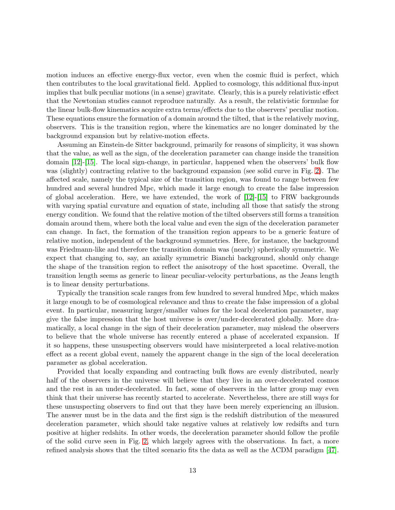motion induces an effective energy-flux vector, even when the cosmic fluid is perfect, which then contributes to the local gravitational field. Applied to cosmology, this additional flux-input implies that bulk peculiar motions (in a sense) gravitate. Clearly, this is a purely relativistic effect that the Newtonian studies cannot reproduce naturally. As a result, the relativistic formulae for the linear bulk-flow kinematics acquire extra terms/effects due to the observers' peculiar motion. These equations ensure the formation of a domain around the tilted, that is the relatively moving, observers. This is the transition region, where the kinematics are no longer dominated by the background expansion but by relative-motion effects.

Assuming an Einstein-de Sitter background, primarily for reasons of simplicity, it was shown that the value, as well as the sign, of the deceleration parameter can change inside the transition domain [\[12\]](#page-14-2)-[\[15\]](#page-14-3). The local sign-change, in particular, happened when the observers' bulk flow was (slightly) contracting relative to the background expansion (see solid curve in Fig. [2\)](#page-9-0). The affected scale, namely the typical size of the transition region, was found to range between few hundred and several hundred Mpc, which made it large enough to create the false impression of global acceleration. Here, we have extended, the work of  $[12]-[15]$  $[12]-[15]$  to FRW backgrounds with varying spatial curvature and equation of state, including all those that satisfy the strong energy condition. We found that the relative motion of the tilted observers still forms a transition domain around them, where both the local value and even the sign of the deceleration parameter can change. In fact, the formation of the transition region appears to be a generic feature of relative motion, independent of the background symmetries. Here, for instance, the background was Friedmann-like and therefore the transition domain was (nearly) spherically symmetric. We expect that changing to, say, an axially symmetric Bianchi background, should only change the shape of the transition region to reflect the anisotropy of the host spacetime. Overall, the transition length seems as generic to linear peculiar-velocity perturbations, as the Jeans length is to linear density perturbations.

Typically the transition scale ranges from few hundred to several hundred Mpc, which makes it large enough to be of cosmological relevance and thus to create the false impression of a global event. In particular, measuring larger/smaller values for the local deceleration parameter, may give the false impression that the host universe is over/under-decelerated globally. More dramatically, a local change in the sign of their deceleration parameter, may mislead the observers to believe that the whole universe has recently entered a phase of accelerated expansion. If it so happens, these unsuspecting observers would have misinterpreted a local relative-motion effect as a recent global event, namely the apparent change in the sign of the local deceleration parameter as global acceleration.

Provided that locally expanding and contracting bulk flows are evenly distributed, nearly half of the observers in the universe will believe that they live in an over-decelerated cosmos and the rest in an under-decelerated. In fact, some of observers in the latter group may even think that their universe has recently started to accelerate. Nevertheless, there are still ways for these unsuspecting observers to find out that they have been merely experiencing an illusion. The answer must be in the data and the first sign is the redshift distribution of the measured deceleration parameter, which should take negative values at relatively low redsifts and turn positive at higher redshits. In other words, the deceleration parameter should follow the profile of the solid curve seen in Fig. [2,](#page-9-0) which largely agrees with the observations. In fact, a more refined analysis shows that the tilted scenario fits the data as well as the ΛCDM paradigm [\[47\]](#page-15-1).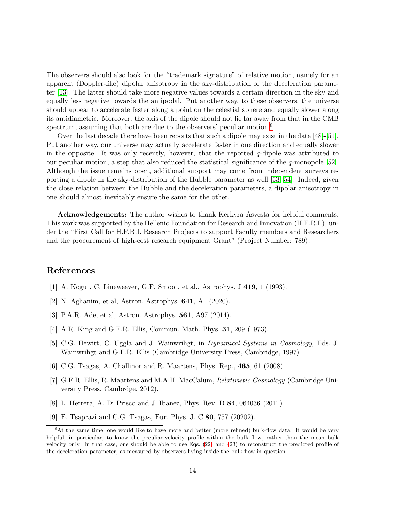The observers should also look for the "trademark signature" of relative motion, namely for an apparent (Doppler-like) dipolar anisotropy in the sky-distribution of the deceleration parameter [\[13\]](#page-14-10). The latter should take more negative values towards a certain direction in the sky and equally less negative towards the antipodal. Put another way, to these observers, the universe should appear to accelerate faster along a point on the celestial sphere and equally slower along its antidiametric. Moreover, the axis of the dipole should not lie far away from that in the CMB spectrum, assuming that both are due to the observers' peculiar motion.<sup>[8](#page-13-9)</sup>

Over the last decade there have been reports that such a dipole may exist in the data [\[48\]](#page-15-2)-[\[51\]](#page-15-3). Put another way, our universe may actually accelerate faster in one direction and equally slower in the opposite. It was only recently, however, that the reported  $q$ -dipole was attributed to our peculiar motion, a step that also reduced the statistical significance of the q-monopole [\[52\]](#page-15-4). Although the issue remains open, additional support may come from independent surveys reporting a dipole in the sky-distribution of the Hubble parameter as well [\[53,](#page-15-5) [54\]](#page-15-6). Indeed, given the close relation between the Hubble and the deceleration parameters, a dipolar anisotropy in one should almost inevitably ensure the same for the other.

Acknowledgements: The author wishes to thank Kerkyra Asvesta for helpful comments. This work was supported by the Hellenic Foundation for Research and Innovation (H.F.R.I.), under the "First Call for H.F.R.I. Research Projects to support Faculty members and Researchers and the procurement of high-cost research equipment Grant" (Project Number: 789).

# <span id="page-13-0"></span>References

- <span id="page-13-1"></span>[1] A. Kogut, C. Lineweaver, G.F. Smoot, et al., Astrophys. J 419, 1 (1993).
- <span id="page-13-2"></span>[2] N. Aghanim, et al, Astron. Astrophys. 641, A1 (2020).
- <span id="page-13-3"></span>[3] P.A.R. Ade, et al, Astron. Astrophys. 561, A97 (2014).
- <span id="page-13-4"></span>[4] A.R. King and G.F.R. Ellis, Commun. Math. Phys. 31, 209 (1973).
- <span id="page-13-5"></span>[5] C.G. Hewitt, C. Uggla and J. Wainwrihgt, in Dynamical Systems in Cosmology, Eds. J. Wainwrihgt and G.F.R. Ellis (Cambridge University Press, Cambridge, 1997).
- <span id="page-13-6"></span>[6] C.G. Tsagas, A. Challinor and R. Maartens, Phys. Rep., 465, 61 (2008).
- [7] G.F.R. Ellis, R. Maartens and M.A.H. MacCalum, Relativistic Cosmology (Cambridge University Press, Cambrdge, 2012).
- <span id="page-13-8"></span><span id="page-13-7"></span>[8] L. Herrera, A. Di Prisco and J. Ibanez, Phys. Rev. D 84, 064036 (2011).
- [9] E. Tsaprazi and C.G. Tsagas, Eur. Phys. J. C 80, 757 (20202).

<span id="page-13-9"></span><sup>8</sup>At the same time, one would like to have more and better (more refined) bulk-flow data. It would be very helpful, in particular, to know the peculiar-velocity profile within the bulk flow, rather than the mean bulk velocity only. In that case, one should be able to use Eqs. [\(22\)](#page-9-2) and [\(23\)](#page-10-2) to reconstruct the predicted profile of the deceleration parameter, as measured by observers living inside the bulk flow in question.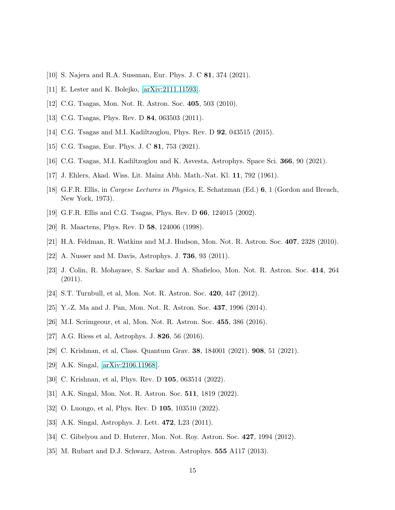- <span id="page-14-1"></span><span id="page-14-0"></span>[10] S. Najera and R.A. Sussman, Eur. Phys. J. C 81, 374 (2021).
- <span id="page-14-2"></span>[11] E. Lester and K. Bolejko, [\[arXiv:2111.11593\]](http://arxiv.org/abs/2111.11593).
- <span id="page-14-10"></span>[12] C.G. Tsagas, Mon. Not. R. Astron. Soc. 405, 503 (2010).
- <span id="page-14-4"></span>[13] C.G. Tsagas, Phys. Rev. D 84, 063503 (2011).
- <span id="page-14-3"></span>[14] C.G. Tsagas and M.I. Kadiltzoglou, Phys. Rev. D 92, 043515 (2015).
- <span id="page-14-5"></span>[15] C.G. Tsagas, Eur. Phys. J. C **81**, 753 (2021).
- <span id="page-14-6"></span>[16] C.G. Tsagas, M.I. Kadiltzoglou and K. Asvesta, Astrophys. Space Sci. 366, 90 (2021).
- <span id="page-14-7"></span>[17] J. Ehlers, Akad. Wiss. Lit. Mainz Abh. Math.-Nat. Kl. 11, 792 (1961).
- <span id="page-14-8"></span>[18] G.F.R. Ellis, in Cargese Lectures in Physics, E. Schatzman (Ed.) 6, 1 (Gordon and Breach, New York, 1973).
- <span id="page-14-9"></span>[19] G.F.R. Ellis and C.G. Tsagas, Phys. Rev. D 66, 124015 (2002).
- <span id="page-14-11"></span>[20] R. Maartens, Phys. Rev. D 58, 124006 (1998).
- [21] H.A. Feldman, R. Watkins and M.J. Hudson, Mon. Not. R. Astron. Soc. 407, 2328 (2010).
- [22] A. Nusser and M. Davis, Astrophys. J. 736, 93 (2011).
- [23] J. Colin, R. Mohayaee, S. Sarkar and A. Shafieloo, Mon. Not. R. Astron. Soc. 414, 264  $(2011).$
- [24] S.T. Turnbull, et al, Mon. Not. R. Astron. Soc. 420, 447 (2012).
- <span id="page-14-12"></span>[25] Y.-Z. Ma and J. Pan, Mon. Not. R. Astron. Soc. 437, 1996 (2014).
- <span id="page-14-13"></span>[26] M.I. Scrimgeour, et al, Mon. Not. R. Astron. Soc. 455, 386 (2016).
- <span id="page-14-14"></span>[27] A.G. Riess et al, Astrophys. J. 826, 56 (2016).
- [28] C. Krishnan, et al, Class. Quantum Grav. 38, 184001 (2021). 908, 51 (2021).
- [29] A.K. Singal, [\[arXiv:2106.11968\]](http://arxiv.org/abs/2106.11968).
- [30] C. Krishnan, et al, Phys. Rev. D **105**, 063514 (2022).
- <span id="page-14-15"></span>[31] A.K. Singal, Mon. Not. R. Astron. Soc. 511, 1819 (2022).
- <span id="page-14-16"></span>[32] O. Luongo, et al, Phys. Rev. D **105**, 103510 (2022).
- [33] A.K. Singal, Astrophys. J. Lett. 472, L23 (2011).
- [34] C. Gibelyou and D. Huterer, Mon. Not. Roy. Astron. Soc. 427, 1994 (2012).
- [35] M. Rubart and D.J. Schwarz, Astron. Astrophys. 555 A117 (2013).